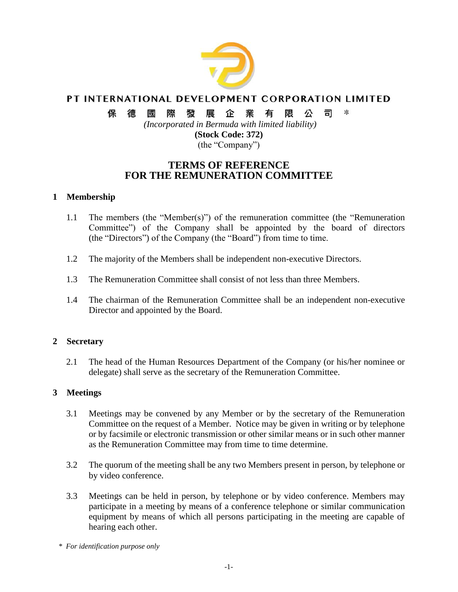

# PT INTERNATIONAL DEVELOPMENT CORPORATION LIMITED

#### 保 發 企 業  $\ast$ 德 或 際 展 有 限 公 司

*(Incorporated in Bermuda with limited liability)* **(Stock Code: 372)**

(the "Company")

# **TERMS OF REFERENCE FOR THE REMUNERATION COMMITTEE**

## **1 Membership**

- 1.1 The members (the "Member(s)") of the remuneration committee (the "Remuneration Committee") of the Company shall be appointed by the board of directors (the "Directors") of the Company (the "Board") from time to time.
- 1.2 The majority of the Members shall be independent non-executive Directors.
- 1.3 The Remuneration Committee shall consist of not less than three Members.
- 1.4 The chairman of the Remuneration Committee shall be an independent non-executive Director and appointed by the Board.

## **2 Secretary**

2.1 The head of the Human Resources Department of the Company (or his/her nominee or delegate) shall serve as the secretary of the Remuneration Committee.

## **3 Meetings**

- 3.1 Meetings may be convened by any Member or by the secretary of the Remuneration Committee on the request of a Member. Notice may be given in writing or by telephone or by facsimile or electronic transmission or other similar means or in such other manner as the Remuneration Committee may from time to time determine.
- 3.2 The quorum of the meeting shall be any two Members present in person, by telephone or by video conference.
- 3.3 Meetings can be held in person, by telephone or by video conference. Members may participate in a meeting by means of a conference telephone or similar communication equipment by means of which all persons participating in the meeting are capable of hearing each other.

*<sup>\*</sup> For identification purpose only*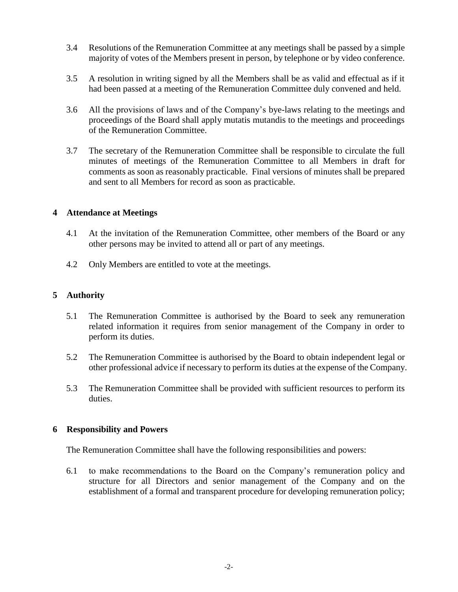- 3.4 Resolutions of the Remuneration Committee at any meetings shall be passed by a simple majority of votes of the Members present in person, by telephone or by video conference.
- 3.5 A resolution in writing signed by all the Members shall be as valid and effectual as if it had been passed at a meeting of the Remuneration Committee duly convened and held.
- 3.6 All the provisions of laws and of the Company's bye-laws relating to the meetings and proceedings of the Board shall apply mutatis mutandis to the meetings and proceedings of the Remuneration Committee.
- 3.7 The secretary of the Remuneration Committee shall be responsible to circulate the full minutes of meetings of the Remuneration Committee to all Members in draft for comments as soon as reasonably practicable. Final versions of minutes shall be prepared and sent to all Members for record as soon as practicable.

#### **4 Attendance at Meetings**

- 4.1 At the invitation of the Remuneration Committee, other members of the Board or any other persons may be invited to attend all or part of any meetings.
- 4.2 Only Members are entitled to vote at the meetings.

## **5 Authority**

- 5.1 The Remuneration Committee is authorised by the Board to seek any remuneration related information it requires from senior management of the Company in order to perform its duties.
- 5.2 The Remuneration Committee is authorised by the Board to obtain independent legal or other professional advice if necessary to perform its duties at the expense of the Company.
- 5.3 The Remuneration Committee shall be provided with sufficient resources to perform its duties.

#### **6 Responsibility and Powers**

The Remuneration Committee shall have the following responsibilities and powers:

6.1 to make recommendations to the Board on the Company's remuneration policy and structure for all Directors and senior management of the Company and on the establishment of a formal and transparent procedure for developing remuneration policy;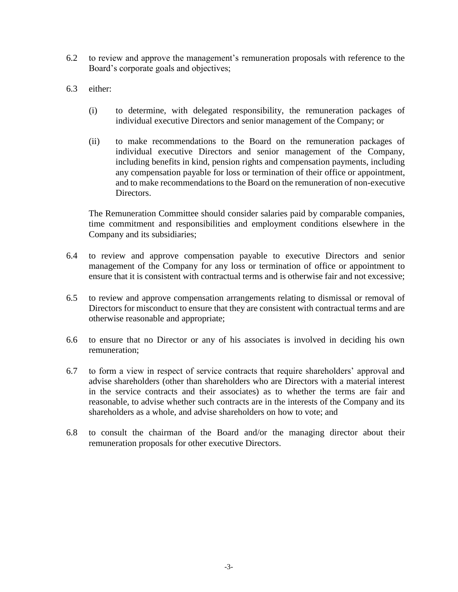- 6.2 to review and approve the management's remuneration proposals with reference to the Board's corporate goals and objectives;
- 6.3 either:
	- (i) to determine, with delegated responsibility, the remuneration packages of individual executive Directors and senior management of the Company; or
	- (ii) to make recommendations to the Board on the remuneration packages of individual executive Directors and senior management of the Company, including benefits in kind, pension rights and compensation payments, including any compensation payable for loss or termination of their office or appointment, and to make recommendations to the Board on the remuneration of non-executive Directors.

The Remuneration Committee should consider salaries paid by comparable companies, time commitment and responsibilities and employment conditions elsewhere in the Company and its subsidiaries;

- 6.4 to review and approve compensation payable to executive Directors and senior management of the Company for any loss or termination of office or appointment to ensure that it is consistent with contractual terms and is otherwise fair and not excessive;
- 6.5 to review and approve compensation arrangements relating to dismissal or removal of Directors for misconduct to ensure that they are consistent with contractual terms and are otherwise reasonable and appropriate;
- 6.6 to ensure that no Director or any of his associates is involved in deciding his own remuneration;
- 6.7 to form a view in respect of service contracts that require shareholders' approval and advise shareholders (other than shareholders who are Directors with a material interest in the service contracts and their associates) as to whether the terms are fair and reasonable, to advise whether such contracts are in the interests of the Company and its shareholders as a whole, and advise shareholders on how to vote; and
- 6.8 to consult the chairman of the Board and/or the managing director about their remuneration proposals for other executive Directors.